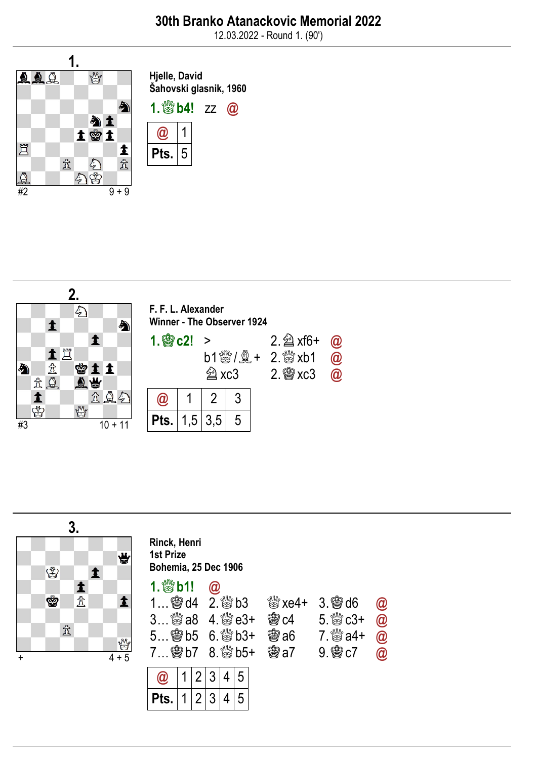12.03.2022 - Round 1. (90')







| Rinck, Henri                |
|-----------------------------|
| <b>1st Prize</b>            |
| <b>Bohemia, 25 Dec 1906</b> |

# 1.  $b1! 0$

1

2

3

4

5

5

4

3

2

1

@

Pts.

| $1$ 会 d4 $2.$ 数 b3 | 3… ﷺ a8   4. ﷺ e3+ | 臠c4        | $\frac{100}{100}$ xe4+ 3. $\frac{100}{100}$ d6 $\frac{100}{100}$<br>$5.802 + 202$ |  |
|--------------------|--------------------|------------|-----------------------------------------------------------------------------------|--|
|                    |                    | <b>鸞a6</b> | 7. $\frac{300}{60}$ a4+ $\omega$                                                  |  |
|                    |                    |            | $9$ @ $c7$ @                                                                      |  |

| TH T | ບ. ອະ uo                 | ω  |
|------|--------------------------|----|
| 'c4  | $5.$ $\%$ $c3+$          | a  |
| ∂a6  | $7.$ $\frac{80}{60}$ a4+ | a  |
| ∂a7  |                          | ſn |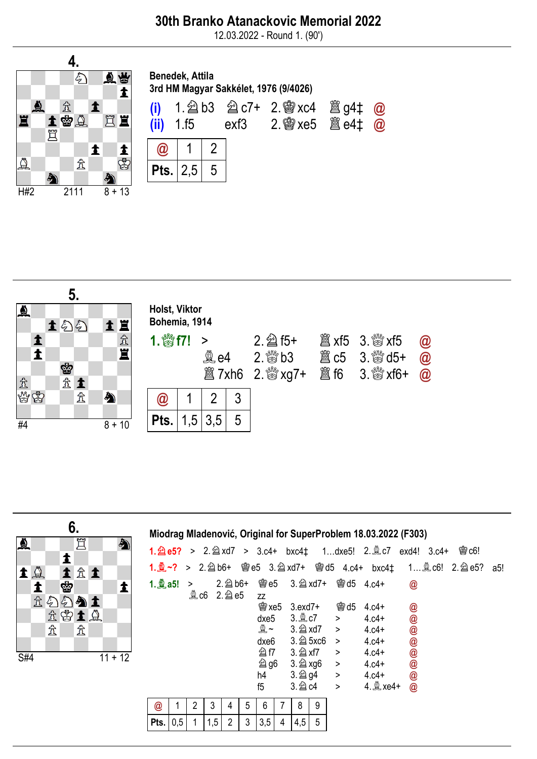### 30th Branko Atanackovic Memorial 2022

12.03.2022 - Round 1. (90')





|                           | 6.                      |           |             |     |                      |     |                |   |             |   |                        |   |                                | Miodrag Mladenović, Original for SuperProblem 18.03.2022 (F303) |                                                                                                      |     |
|---------------------------|-------------------------|-----------|-------------|-----|----------------------|-----|----------------|---|-------------|---|------------------------|---|--------------------------------|-----------------------------------------------------------------|------------------------------------------------------------------------------------------------------|-----|
| $\Delta$                  | 罝<br>1                  | ♠         |             |     |                      |     |                |   |             |   |                        |   |                                |                                                                 | 1. $\hat{2}$ e5? > 2. $\hat{2}$ xd7 > 3.c4+ bxc4 $\ddagger$ 1dxe5! 2. $\hat{2}$ c7 exd4! 3.c4+ @ c6! |     |
| ${\bf 1} \not\!\! \Delta$ | 土金土                     |           |             |     |                      |     |                |   |             |   |                        |   |                                |                                                                 | 1. 2 ~? > 2. 2 b6+ 彎e5 3. 2 xd7+ 彎d5 4. c4+ bxc4 $\ddagger$ 1 2 c6! 2. 2 e5?                         | a5! |
| 1                         | ġ                       | 1         | 1.2a5!      |     | ><br>$\mathbb{Q}$ c6 |     | 2. 2 e5        |   | ZZ          |   |                        |   | 2. h6+ 窗e5 3. h2xd7+ 窗d5 4.c4+ |                                                                 | $\circledR$                                                                                          |     |
|                           | 金色匀匀土                   |           |             |     |                      |     |                |   | <b>會xe5</b> |   | 3.exd7+                |   | <b>會d5</b>                     | $4.c4+$                                                         | @                                                                                                    |     |
|                           | 金留土鱼                    |           |             |     |                      |     |                |   | dxe5        |   |                        |   | $\geq$                         | $4.c4+$                                                         |                                                                                                      |     |
|                           | 峹<br>$\hat{\mathbb{Z}}$ |           |             |     |                      |     |                |   | 奠~          |   | 3. 2 xd7               |   | $\geq$                         | $4.c4+$                                                         | 00000000                                                                                             |     |
|                           |                         |           |             |     |                      |     |                |   | dxe6        |   | $3.\n  2$ 5xc6         |   | $\rightarrow$                  | $4.c4+$                                                         |                                                                                                      |     |
| S#4                       |                         | $11 + 12$ |             |     |                      |     |                |   | <b>公f7</b>  |   | $3.2$ xf7              |   | $\geq$                         | $4.c4+$                                                         |                                                                                                      |     |
|                           |                         |           |             |     |                      |     |                |   | <b>2 g6</b> |   |                        |   | >                              | $4.c4+$                                                         |                                                                                                      |     |
|                           |                         |           |             |     |                      |     |                |   | h4          |   | $3.\n\hat{\otimes}$ g4 |   | >                              | $4.c4+$                                                         |                                                                                                      |     |
|                           |                         |           |             |     |                      |     |                |   | f5          |   | 3. 2 c4                |   | $\geq$                         | 4. 2 xe4+                                                       |                                                                                                      |     |
|                           |                         |           | $\circleda$ |     | 2                    | 3   | 4              | 5 | 6           |   | 8                      | 9 |                                |                                                                 |                                                                                                      |     |
|                           |                         |           | Pts.        | 0,5 |                      | 1,5 | $\overline{2}$ | 3 | 3,5         | 4 | 4,5                    | 5 |                                |                                                                 |                                                                                                      |     |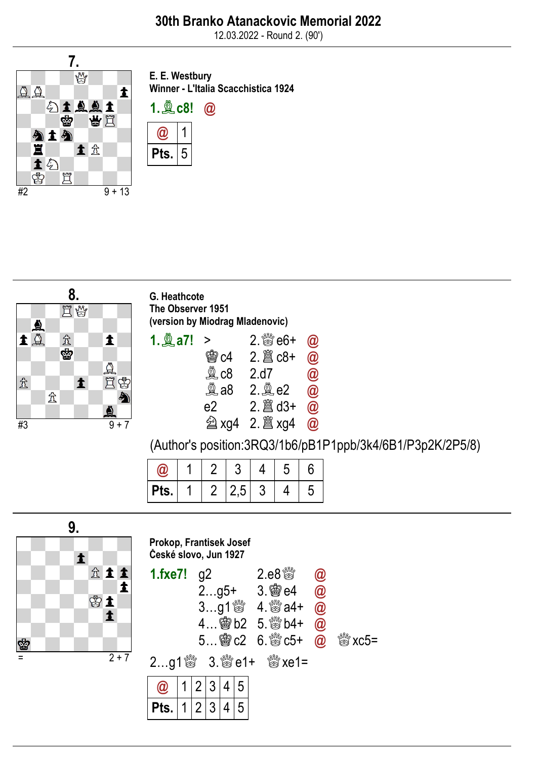12.03.2022 - Round 2. (90')



E. E. Westbury Winner - L'Italia Scacchistica 1924





G. Heathcote The Observer 1951 (version by Miodrag Mladenovic)

| 1. $Q$ a7! > |        | $2.80 + 2.00 + 2.00$ |             |
|--------------|--------|----------------------|-------------|
|              | 嚠c4    |                      | $\omega$    |
|              | \$c8\$ | 2.d7                 | $\circleda$ |
|              | \$a8\$ | $2.\n$ {2.}e $2$     | $\circledR$ |
|              | e2.    | $2.$ $\hat{a}$ d3+   | $\omega$    |
|              |        |                      | $\omega$    |

(Author's position:3RQ3/1b6/pB1P1ppb/3k4/6B1/P3p2K/2P5/8)

|         |         | u             |   |   |  |
|---------|---------|---------------|---|---|--|
| $P$ ts. | $2^{-}$ | $ 2,5\rangle$ | J | a |  |



Prokop, Frantisek Josef České slovo, Jun 1927 **1.fxe7!** g2 2.e8៉េ **@**<br>2...g5+ 3.@e4 **@**  $2...g5+$ 3…g1♕ 4.♕a4+ @ 4…♔b2 5.♕b4+ @ 5…♔c2 6.♕c5+ @ ♕xc5= 2…g1♕ 3.♕e1+ ♕xe1= @ Pts. 1 1 2 2 3 4 3 4 5 5